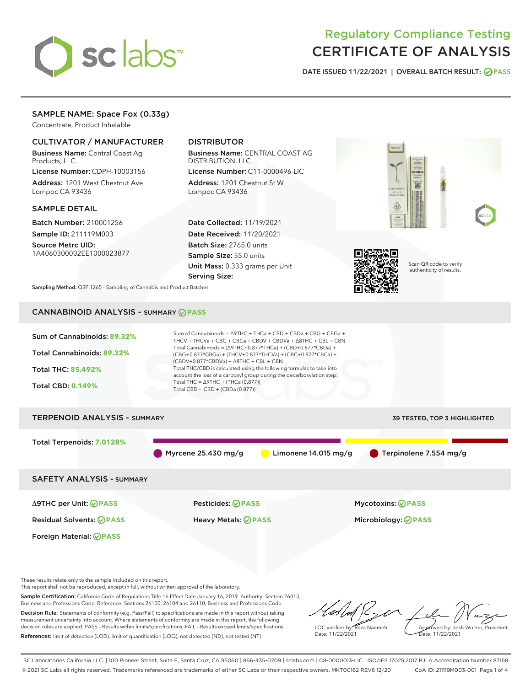

# Regulatory Compliance Testing CERTIFICATE OF ANALYSIS

DATE ISSUED 11/22/2021 | OVERALL BATCH RESULT: @ PASS

# SAMPLE NAME: Space Fox (0.33g)

Concentrate, Product Inhalable

# CULTIVATOR / MANUFACTURER

Business Name: Central Coast Ag Products, LLC

License Number: CDPH-10003156 Address: 1201 West Chestnut Ave. Lompoc CA 93436

### SAMPLE DETAIL

Batch Number: 210001256 Sample ID: 211119M003

Source Metrc UID: 1A4060300002EE1000023877

# DISTRIBUTOR

Business Name: CENTRAL COAST AG DISTRIBUTION, LLC

License Number: C11-0000496-LIC Address: 1201 Chestnut St W Lompoc CA 93436

Date Collected: 11/19/2021 Date Received: 11/20/2021 Batch Size: 2765.0 units Sample Size: 55.0 units Unit Mass: 0.333 grams per Unit Serving Size:



Scan QR code to verify authenticity of results.

Sampling Method: QSP 1265 - Sampling of Cannabis and Product Batches

# CANNABINOID ANALYSIS - SUMMARY **PASS**



These results relate only to the sample included on this report.

This report shall not be reproduced, except in full, without written approval of the laboratory.

Sample Certification: California Code of Regulations Title 16 Effect Date January 16, 2019. Authority: Section 26013, Business and Professions Code. Reference: Sections 26100, 26104 and 26110, Business and Professions Code. Decision Rule: Statements of conformity (e.g. Pass/Fail) to specifications are made in this report without taking

measurement uncertainty into account. Where statements of conformity are made in this report, the following decision rules are applied: PASS – Results within limits/specifications, FAIL – Results exceed limits/specifications. References: limit of detection (LOD), limit of quantification (LOQ), not detected (ND), not tested (NT)

LQC verified by: Reza Naemeh Date: 11/22/2021 Approved by: Josh Wurzer, President Date: 11/22/2021

SC Laboratories California LLC. | 100 Pioneer Street, Suite E, Santa Cruz, CA 95060 | 866-435-0709 | sclabs.com | C8-0000013-LIC | ISO/IES 17025:2017 PJLA Accreditation Number 87168 © 2021 SC Labs all rights reserved. Trademarks referenced are trademarks of either SC Labs or their respective owners. MKT00162 REV6 12/20 CoA ID: 211119M003-001 Page 1 of 4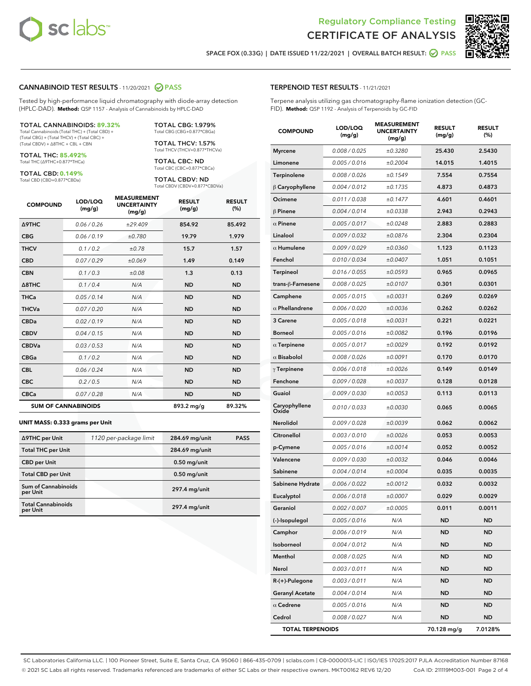



SPACE FOX (0.33G) | DATE ISSUED 11/22/2021 | OVERALL BATCH RESULT:  $\bigcirc$  PASS

### CANNABINOID TEST RESULTS - 11/20/2021 2 PASS

Tested by high-performance liquid chromatography with diode-array detection (HPLC-DAD). **Method:** QSP 1157 - Analysis of Cannabinoids by HPLC-DAD

#### TOTAL CANNABINOIDS: **89.32%**

Total Cannabinoids (Total THC) + (Total CBD) + (Total CBG) + (Total THCV) + (Total CBC) + (Total CBDV) + ∆8THC + CBL + CBN

TOTAL THC: **85.492%** Total THC (∆9THC+0.877\*THCa)

TOTAL CBD: **0.149%**

Total CBD (CBD+0.877\*CBDa)

TOTAL CBG: 1.979% Total CBG (CBG+0.877\*CBGa)

TOTAL THCV: 1.57% Total THCV (THCV+0.877\*THCVa)

TOTAL CBC: ND Total CBC (CBC+0.877\*CBCa)

TOTAL CBDV: ND Total CBDV (CBDV+0.877\*CBDVa)

| <b>COMPOUND</b>  | LOD/LOQ<br>(mg/g)          | <b>MEASUREMENT</b><br><b>UNCERTAINTY</b><br>(mg/g) | <b>RESULT</b><br>(mg/g) | <b>RESULT</b><br>(%) |
|------------------|----------------------------|----------------------------------------------------|-------------------------|----------------------|
| <b>A9THC</b>     | 0.06 / 0.26                | ±29.409                                            | 854.92                  | 85.492               |
| <b>CBG</b>       | 0.06/0.19                  | ±0.780                                             | 19.79                   | 1.979                |
| <b>THCV</b>      | 0.1/0.2                    | ±0.78                                              | 15.7                    | 1.57                 |
| <b>CBD</b>       | 0.07/0.29                  | ±0.069                                             | 1.49                    | 0.149                |
| <b>CBN</b>       | 0.1 / 0.3                  | ±0.08                                              | 1.3                     | 0.13                 |
| $\triangle$ 8THC | 0.1/0.4                    | N/A                                                | <b>ND</b>               | <b>ND</b>            |
| THCa             | 0.05 / 0.14                | N/A                                                | <b>ND</b>               | <b>ND</b>            |
| <b>THCVa</b>     | 0.07/0.20                  | N/A                                                | <b>ND</b>               | <b>ND</b>            |
| <b>CBDa</b>      | 0.02/0.19                  | N/A                                                | <b>ND</b>               | <b>ND</b>            |
| <b>CBDV</b>      | 0.04 / 0.15                | N/A                                                | <b>ND</b>               | <b>ND</b>            |
| <b>CBDVa</b>     | 0.03/0.53                  | N/A                                                | <b>ND</b>               | <b>ND</b>            |
| <b>CBGa</b>      | 0.1 / 0.2                  | N/A                                                | <b>ND</b>               | <b>ND</b>            |
| <b>CBL</b>       | 0.06 / 0.24                | N/A                                                | <b>ND</b>               | <b>ND</b>            |
| <b>CBC</b>       | 0.2 / 0.5                  | N/A                                                | <b>ND</b>               | <b>ND</b>            |
| <b>CBCa</b>      | 0.07/0.28                  | N/A                                                | <b>ND</b>               | <b>ND</b>            |
|                  | <b>SUM OF CANNABINOIDS</b> |                                                    | 893.2 mg/g              | 89.32%               |

#### **UNIT MASS: 0.333 grams per Unit**

| ∆9THC per Unit                         | 1120 per-package limit | 284.69 mg/unit  | <b>PASS</b> |
|----------------------------------------|------------------------|-----------------|-------------|
| <b>Total THC per Unit</b>              |                        | 284.69 mg/unit  |             |
| <b>CBD</b> per Unit                    |                        | $0.50$ mg/unit  |             |
| <b>Total CBD per Unit</b>              |                        | $0.50$ mg/unit  |             |
| <b>Sum of Cannabinoids</b><br>per Unit |                        | $297.4$ mg/unit |             |
| <b>Total Cannabinoids</b><br>per Unit  |                        | $297.4$ mg/unit |             |

| <b>COMPOUND</b>         | LOD/LOQ<br>(mg/g) | <b>MEASUREMENT</b><br><b>UNCERTAINTY</b><br>(mg/g) | <b>RESULT</b><br>(mg/g) | <b>RESULT</b><br>(%) |
|-------------------------|-------------------|----------------------------------------------------|-------------------------|----------------------|
| <b>Myrcene</b>          | 0.008 / 0.025     | ±0.3280                                            | 25.430                  | 2.5430               |
| Limonene                | 0.005 / 0.016     | ±0.2004                                            | 14.015                  | 1.4015               |
| Terpinolene             | 0.008 / 0.026     | ±0.1549                                            | 7.554                   | 0.7554               |
| $\beta$ Caryophyllene   | 0.004 / 0.012     | ±0.1735                                            | 4.873                   | 0.4873               |
| Ocimene                 | 0.011 / 0.038     | ±0.1477                                            | 4.601                   | 0.4601               |
| <b>β Pinene</b>         | 0.004 / 0.014     | ±0.0338                                            | 2.943                   | 0.2943               |
| $\alpha$ Pinene         | 0.005 / 0.017     | ±0.0248                                            | 2.883                   | 0.2883               |
| Linalool                | 0.009 / 0.032     | ±0.0876                                            | 2.304                   | 0.2304               |
| $\alpha$ Humulene       | 0.009 / 0.029     | ±0.0360                                            | 1.123                   | 0.1123               |
| Fenchol                 | 0.010 / 0.034     | ±0.0407                                            | 1.051                   | 0.1051               |
| Terpineol               | 0.016 / 0.055     | ±0.0593                                            | 0.965                   | 0.0965               |
| trans-ß-Farnesene       | 0.008 / 0.025     | ±0.0107                                            | 0.301                   | 0.0301               |
| Camphene                | 0.005 / 0.015     | ±0.0031                                            | 0.269                   | 0.0269               |
| $\alpha$ Phellandrene   | 0.006 / 0.020     | ±0.0036                                            | 0.262                   | 0.0262               |
| <b>3 Carene</b>         | 0.005 / 0.018     | ±0.0031                                            | 0.221                   | 0.0221               |
| <b>Borneol</b>          | 0.005 / 0.016     | ±0.0082                                            | 0.196                   | 0.0196               |
| $\alpha$ Terpinene      | 0.005 / 0.017     | ±0.0029                                            | 0.192                   | 0.0192               |
| $\alpha$ Bisabolol      | 0.008 / 0.026     | ±0.0091                                            | 0.170                   | 0.0170               |
| $\gamma$ Terpinene      | 0.006 / 0.018     | ±0.0026                                            | 0.149                   | 0.0149               |
| Fenchone                | 0.009 / 0.028     | ±0.0037                                            | 0.128                   | 0.0128               |
| Guaiol                  | 0.009 / 0.030     | ±0.0053                                            | 0.113                   | 0.0113               |
| Caryophyllene<br>Oxide  | 0.010 / 0.033     | ±0.0030                                            | 0.065                   | 0.0065               |
| Nerolidol               | 0.009 / 0.028     | ±0.0039                                            | 0.062                   | 0.0062               |
| Citronellol             | 0.003 / 0.010     | ±0.0026                                            | 0.053                   | 0.0053               |
| p-Cymene                | 0.005 / 0.016     | ±0.0014                                            | 0.052                   | 0.0052               |
| Valencene               | 0.009 / 0.030     | ±0.0032                                            | 0.046                   | 0.0046               |
| Sabinene                | 0.004 / 0.014     | ±0.0004                                            | 0.035                   | 0.0035               |
| Sabinene Hydrate        | 0.006 / 0.022     | ±0.0012                                            | 0.032                   | 0.0032               |
| Eucalyptol              | 0.006 / 0.018     | ±0.0007                                            | 0.029                   | 0.0029               |
| Geraniol                | 0.002 / 0.007     | ±0.0005                                            | 0.011                   | 0.0011               |
| (-)-Isopulegol          | 0.005 / 0.016     | N/A                                                | <b>ND</b>               | ND                   |
| Camphor                 | 0.006 / 0.019     | N/A                                                | <b>ND</b>               | <b>ND</b>            |
| Isoborneol              | 0.004 / 0.012     | N/A                                                | ND                      | ND                   |
| Menthol                 | 0.008 / 0.025     | N/A                                                | <b>ND</b>               | ND                   |
| Nerol                   | 0.003 / 0.011     | N/A                                                | <b>ND</b>               | <b>ND</b>            |
| R-(+)-Pulegone          | 0.003 / 0.011     | N/A                                                | ND                      | ND                   |
| <b>Geranyl Acetate</b>  | 0.004 / 0.014     | N/A                                                | <b>ND</b>               | ND                   |
| $\alpha$ Cedrene        | 0.005 / 0.016     | N/A                                                | <b>ND</b>               | <b>ND</b>            |
| Cedrol                  | 0.008 / 0.027     | N/A                                                | ND                      | ND                   |
| <b>TOTAL TERPENOIDS</b> |                   |                                                    | 70.128 mg/g             | 7.0128%              |

SC Laboratories California LLC. | 100 Pioneer Street, Suite E, Santa Cruz, CA 95060 | 866-435-0709 | sclabs.com | C8-0000013-LIC | ISO/IES 17025:2017 PJLA Accreditation Number 87168 © 2021 SC Labs all rights reserved. Trademarks referenced are trademarks of either SC Labs or their respective owners. MKT00162 REV6 12/20 CoA ID: 211119M003-001 Page 2 of 4

# TERPENOID TEST RESULTS - 11/21/2021

Terpene analysis utilizing gas chromatography-flame ionization detection (GC-FID). **Method:** QSP 1192 - Analysis of Terpenoids by GC-FID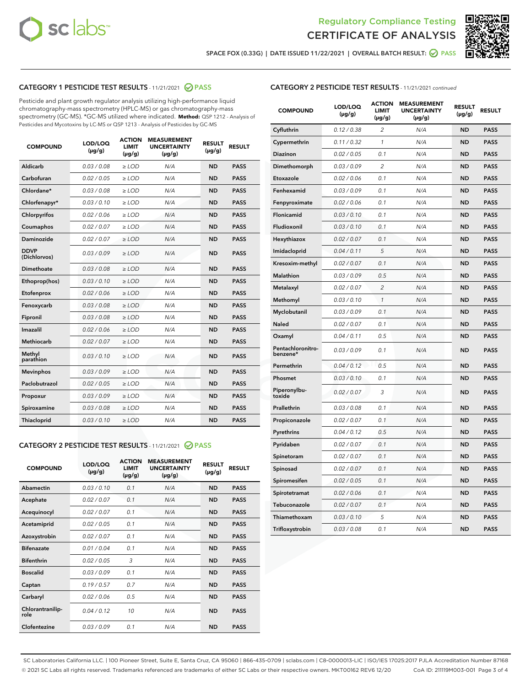



SPACE FOX (0.33G) | DATE ISSUED 11/22/2021 | OVERALL BATCH RESULT:  $\bigcirc$  PASS

# CATEGORY 1 PESTICIDE TEST RESULTS - 11/21/2021 2 PASS

Pesticide and plant growth regulator analysis utilizing high-performance liquid chromatography-mass spectrometry (HPLC-MS) or gas chromatography-mass spectrometry (GC-MS). \*GC-MS utilized where indicated. **Method:** QSP 1212 - Analysis of Pesticides and Mycotoxins by LC-MS or QSP 1213 - Analysis of Pesticides by GC-MS

| <b>COMPOUND</b>             | LOD/LOQ<br>$(\mu g/g)$ | <b>ACTION</b><br><b>LIMIT</b><br>$(\mu g/g)$ | <b>MEASUREMENT</b><br><b>UNCERTAINTY</b><br>$(\mu g/g)$ | <b>RESULT</b><br>$(\mu g/g)$ | <b>RESULT</b> |
|-----------------------------|------------------------|----------------------------------------------|---------------------------------------------------------|------------------------------|---------------|
| Aldicarb                    | 0.03 / 0.08            | $\geq$ LOD                                   | N/A                                                     | <b>ND</b>                    | <b>PASS</b>   |
| Carbofuran                  | 0.02/0.05              | $>$ LOD                                      | N/A                                                     | <b>ND</b>                    | <b>PASS</b>   |
| Chlordane*                  | 0.03 / 0.08            | $\ge$ LOD                                    | N/A                                                     | <b>ND</b>                    | <b>PASS</b>   |
| Chlorfenapyr*               | 0.03/0.10              | $>$ LOD                                      | N/A                                                     | <b>ND</b>                    | <b>PASS</b>   |
| Chlorpyrifos                | 0.02 / 0.06            | $\ge$ LOD                                    | N/A                                                     | <b>ND</b>                    | <b>PASS</b>   |
| Coumaphos                   | 0.02 / 0.07            | $\ge$ LOD                                    | N/A                                                     | <b>ND</b>                    | <b>PASS</b>   |
| Daminozide                  | 0.02 / 0.07            | $\ge$ LOD                                    | N/A                                                     | <b>ND</b>                    | <b>PASS</b>   |
| <b>DDVP</b><br>(Dichlorvos) | 0.03/0.09              | $\ge$ LOD                                    | N/A                                                     | <b>ND</b>                    | <b>PASS</b>   |
| Dimethoate                  | 0.03/0.08              | $>$ LOD                                      | N/A                                                     | <b>ND</b>                    | <b>PASS</b>   |
| Ethoprop(hos)               | 0.03/0.10              | $\ge$ LOD                                    | N/A                                                     | <b>ND</b>                    | <b>PASS</b>   |
| Etofenprox                  | 0.02 / 0.06            | $\ge$ LOD                                    | N/A                                                     | <b>ND</b>                    | <b>PASS</b>   |
| Fenoxycarb                  | 0.03 / 0.08            | $\ge$ LOD                                    | N/A                                                     | <b>ND</b>                    | <b>PASS</b>   |
| Fipronil                    | 0.03/0.08              | $>$ LOD                                      | N/A                                                     | <b>ND</b>                    | <b>PASS</b>   |
| Imazalil                    | 0.02 / 0.06            | $\ge$ LOD                                    | N/A                                                     | <b>ND</b>                    | <b>PASS</b>   |
| <b>Methiocarb</b>           | 0.02 / 0.07            | $\ge$ LOD                                    | N/A                                                     | <b>ND</b>                    | <b>PASS</b>   |
| Methyl<br>parathion         | 0.03/0.10              | $\ge$ LOD                                    | N/A                                                     | <b>ND</b>                    | <b>PASS</b>   |
| <b>Mevinphos</b>            | 0.03/0.09              | $>$ LOD                                      | N/A                                                     | <b>ND</b>                    | <b>PASS</b>   |
| Paclobutrazol               | 0.02 / 0.05            | $\ge$ LOD                                    | N/A                                                     | <b>ND</b>                    | <b>PASS</b>   |
| Propoxur                    | 0.03/0.09              | $\ge$ LOD                                    | N/A                                                     | <b>ND</b>                    | <b>PASS</b>   |
| Spiroxamine                 | 0.03 / 0.08            | $\ge$ LOD                                    | N/A                                                     | <b>ND</b>                    | <b>PASS</b>   |
| Thiacloprid                 | 0.03/0.10              | $\ge$ LOD                                    | N/A                                                     | <b>ND</b>                    | <b>PASS</b>   |

### CATEGORY 2 PESTICIDE TEST RESULTS - 11/21/2021 @ PASS

| <b>COMPOUND</b>          | LOD/LOO<br>$(\mu g/g)$ | <b>ACTION</b><br>LIMIT<br>$(\mu g/g)$ | <b>MEASUREMENT</b><br><b>UNCERTAINTY</b><br>$(\mu g/g)$ | <b>RESULT</b><br>$(\mu g/g)$ | <b>RESULT</b> |  |
|--------------------------|------------------------|---------------------------------------|---------------------------------------------------------|------------------------------|---------------|--|
| Abamectin                | 0.03/0.10              | 0.1                                   | N/A                                                     | <b>ND</b>                    | <b>PASS</b>   |  |
| Acephate                 | 0.02/0.07              | 0.1                                   | N/A                                                     | <b>ND</b>                    | <b>PASS</b>   |  |
| Acequinocyl              | 0.02/0.07              | 0.1                                   | N/A                                                     | <b>ND</b>                    | <b>PASS</b>   |  |
| Acetamiprid              | 0.02 / 0.05            | 0.1                                   | N/A                                                     | <b>ND</b>                    | <b>PASS</b>   |  |
| Azoxystrobin             | 0.02/0.07              | 0.1                                   | N/A                                                     | <b>ND</b>                    | <b>PASS</b>   |  |
| <b>Bifenazate</b>        | 0.01 / 0.04            | 0.1                                   | N/A                                                     | <b>ND</b>                    | <b>PASS</b>   |  |
| <b>Bifenthrin</b>        | 0.02 / 0.05            | 3                                     | N/A                                                     | <b>ND</b>                    | <b>PASS</b>   |  |
| <b>Boscalid</b>          | 0.03/0.09              | 0.1                                   | N/A                                                     | <b>ND</b>                    | <b>PASS</b>   |  |
| Captan                   | 0.19/0.57              | 0.7                                   | N/A                                                     | <b>ND</b>                    | <b>PASS</b>   |  |
| Carbaryl                 | 0.02/0.06              | 0.5                                   | N/A                                                     | <b>ND</b>                    | <b>PASS</b>   |  |
| Chlorantranilip-<br>role | 0.04/0.12              | 10                                    | N/A                                                     | <b>ND</b>                    | <b>PASS</b>   |  |
| Clofentezine             | 0.03/0.09              | 0.1                                   | N/A                                                     | <b>ND</b>                    | <b>PASS</b>   |  |

| <b>CATEGORY 2 PESTICIDE TEST RESULTS</b> - 11/21/2021 continued |
|-----------------------------------------------------------------|
|                                                                 |

| <b>COMPOUND</b>               | LOD/LOQ<br>(µg/g) | <b>ACTION</b><br>LIMIT<br>(µg/g) | <b>MEASUREMENT</b><br><b>UNCERTAINTY</b><br>(µg/g) | <b>RESULT</b><br>(µg/g) | <b>RESULT</b> |
|-------------------------------|-------------------|----------------------------------|----------------------------------------------------|-------------------------|---------------|
| Cyfluthrin                    | 0.12 / 0.38       | $\overline{c}$                   | N/A                                                | <b>ND</b>               | <b>PASS</b>   |
| Cypermethrin                  | 0.11/0.32         | 1                                | N/A                                                | <b>ND</b>               | <b>PASS</b>   |
| <b>Diazinon</b>               | 0.02 / 0.05       | 0.1                              | N/A                                                | <b>ND</b>               | <b>PASS</b>   |
| Dimethomorph                  | 0.03 / 0.09       | 2                                | N/A                                                | <b>ND</b>               | <b>PASS</b>   |
| Etoxazole                     | 0.02 / 0.06       | 0.1                              | N/A                                                | <b>ND</b>               | <b>PASS</b>   |
| Fenhexamid                    | 0.03 / 0.09       | 0.1                              | N/A                                                | <b>ND</b>               | <b>PASS</b>   |
| Fenpyroximate                 | 0.02 / 0.06       | 0.1                              | N/A                                                | <b>ND</b>               | <b>PASS</b>   |
| Flonicamid                    | 0.03 / 0.10       | 0.1                              | N/A                                                | <b>ND</b>               | <b>PASS</b>   |
| Fludioxonil                   | 0.03/0.10         | 0.1                              | N/A                                                | <b>ND</b>               | <b>PASS</b>   |
| Hexythiazox                   | 0.02 / 0.07       | 0.1                              | N/A                                                | <b>ND</b>               | <b>PASS</b>   |
| Imidacloprid                  | 0.04 / 0.11       | 5                                | N/A                                                | <b>ND</b>               | <b>PASS</b>   |
| Kresoxim-methyl               | 0.02 / 0.07       | 0.1                              | N/A                                                | <b>ND</b>               | <b>PASS</b>   |
| <b>Malathion</b>              | 0.03 / 0.09       | 0.5                              | N/A                                                | <b>ND</b>               | <b>PASS</b>   |
| Metalaxyl                     | 0.02 / 0.07       | $\overline{c}$                   | N/A                                                | <b>ND</b>               | <b>PASS</b>   |
| Methomyl                      | 0.03 / 0.10       | 1                                | N/A                                                | <b>ND</b>               | <b>PASS</b>   |
| Myclobutanil                  | 0.03/0.09         | 0.1                              | N/A                                                | <b>ND</b>               | <b>PASS</b>   |
| Naled                         | 0.02 / 0.07       | 0.1                              | N/A                                                | <b>ND</b>               | <b>PASS</b>   |
| Oxamyl                        | 0.04 / 0.11       | 0.5                              | N/A                                                | <b>ND</b>               | <b>PASS</b>   |
| Pentachloronitro-<br>benzene* | 0.03/0.09         | 0.1                              | N/A                                                | <b>ND</b>               | <b>PASS</b>   |
| Permethrin                    | 0.04 / 0.12       | 0.5                              | N/A                                                | <b>ND</b>               | <b>PASS</b>   |
| Phosmet                       | 0.03 / 0.10       | 0.1                              | N/A                                                | <b>ND</b>               | <b>PASS</b>   |
| Piperonylbu-<br>toxide        | 0.02 / 0.07       | 3                                | N/A                                                | <b>ND</b>               | <b>PASS</b>   |
| Prallethrin                   | 0.03 / 0.08       | 0.1                              | N/A                                                | <b>ND</b>               | <b>PASS</b>   |
| Propiconazole                 | 0.02 / 0.07       | 0.1                              | N/A                                                | <b>ND</b>               | <b>PASS</b>   |
| Pyrethrins                    | 0.04 / 0.12       | 0.5                              | N/A                                                | <b>ND</b>               | <b>PASS</b>   |
| Pyridaben                     | 0.02 / 0.07       | 0.1                              | N/A                                                | <b>ND</b>               | <b>PASS</b>   |
| Spinetoram                    | 0.02 / 0.07       | 0.1                              | N/A                                                | <b>ND</b>               | <b>PASS</b>   |
| Spinosad                      | 0.02 / 0.07       | 0.1                              | N/A                                                | <b>ND</b>               | <b>PASS</b>   |
| Spiromesifen                  | 0.02 / 0.05       | 0.1                              | N/A                                                | <b>ND</b>               | <b>PASS</b>   |
| Spirotetramat                 | 0.02 / 0.06       | 0.1                              | N/A                                                | <b>ND</b>               | <b>PASS</b>   |
| Tebuconazole                  | 0.02 / 0.07       | 0.1                              | N/A                                                | <b>ND</b>               | <b>PASS</b>   |
| Thiamethoxam                  | 0.03 / 0.10       | 5                                | N/A                                                | <b>ND</b>               | <b>PASS</b>   |
| Trifloxystrobin               | 0.03 / 0.08       | 0.1                              | N/A                                                | <b>ND</b>               | <b>PASS</b>   |

SC Laboratories California LLC. | 100 Pioneer Street, Suite E, Santa Cruz, CA 95060 | 866-435-0709 | sclabs.com | C8-0000013-LIC | ISO/IES 17025:2017 PJLA Accreditation Number 87168 © 2021 SC Labs all rights reserved. Trademarks referenced are trademarks of either SC Labs or their respective owners. MKT00162 REV6 12/20 CoA ID: 211119M003-001 Page 3 of 4